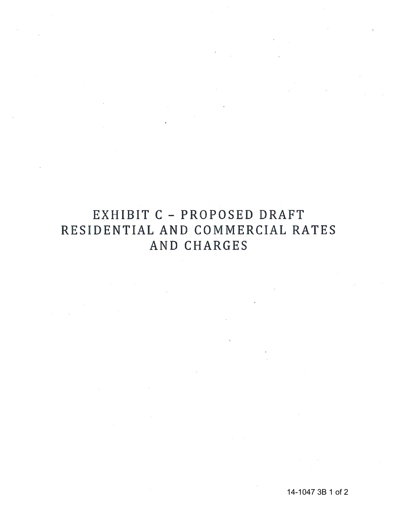# EXHIBIT C - PROPOSED DRAFT RESIDENTIAL AND COMMERCIAL RATES AND CHARGES